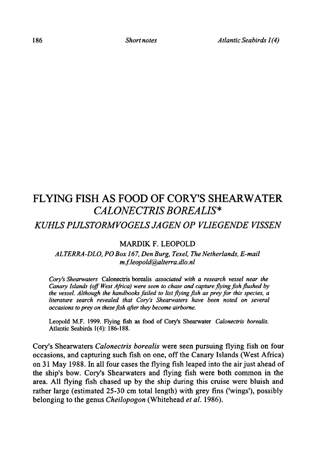# Flying fish as food of Cory's Shearwater Calonectris borealis\*

## Kuhls Pijlstormvogels jagen op vliegende vissen

### MARDIK F. LEOPOLD

### ALTERRA-DLO, PO Box 167, Den Burg, Texel, The Netherlands.E-mail m.f. leopold@alterra.dlo.nl

Cory's Shearwaters Calonectris borealis associated with a research vessel near the Canary Islands (off West Africa) were seen to chase and capture flying fish flushed by the vessel. Although the handbooks failed to list flying fish as prey for this species, a literature search revealed that Cory's Shearwaters have been noted on several occasions to prey on these fish after they become airborne.

Leopold M.F. 1999. Flying fish as food of Cory's Shearwater Calonectris borealis. Atlantic Seabirds 1(4): 186-188.

Cory's Shearwaters Calonectris borealis were seen pursuing flying fish on four occasions, and capturing such fish on one, off the Canary Islands (West Africa) on <sup>31</sup> May 1988. In all four cases the flying fish leaped into the air just aheadof the ship's bow. Cory's Shearwaters and flying fish were both common in the area. All flying fish chased up by the ship during this cruise were bluish and rather large (estimated 25-30 cm total length) with grey fins ('wings'), possibly belonging to the genus Cheilopogon (Whitehead et al. 1986).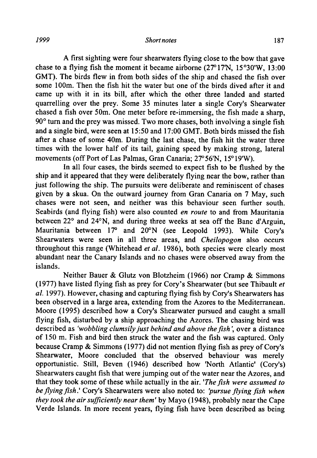#### <sup>187</sup> Shortnotes 187

A first sighting were four shearwaters flying close to the bow that gave chase to a flying fish the moment it became airborne  $(27^{\circ}17N, 15^{\circ}30'W, 13:00)$ GMT). The birds flew in from both sides of the ship and chased the fish over some 100m. Then the fish hit the water but one of the birds dived after it and came up with it in its bill, after which the other three landed and started quarrelling over the prey. Some 35 minutes later <sup>a</sup> single Cory's Shearwater chased <sup>a</sup> fish over 50m. One meter before re-immersing, the fish made <sup>a</sup> sharp, 90° turn and the prey was missed. Two more chases, both involving <sup>a</sup> single fish and a single bird, were seen at 15:50 and 17:00 GMT. Both birds missed the fish after <sup>a</sup> chase of some 40m. During the last chase, the fish hit the water three times with the lower half of its tail, gaining speed by making strong, lateral movements (off Port of Las Palmas, Gran Canaria; 27°56'N, 15°19'W).

In all four cases, the birds seemed to expect fish to be flushed by the ship and it appeared that they were deliberately flying near the bow, rather than just following the ship. The pursuits were deliberate and reminiscent of chases given by <sup>a</sup> skua. On the outward journey from Gran Canaria on <sup>7</sup> May, such chases were not seen, and neither was this behaviour seen further south. Seabirds (and flying fish) were also counted en route to and from Mauritania between 22° and 24°N, and during three weeks at sea off the Banc d'Arguin, Mauritania between 17° and 20°N (see Leopold 1993). While Cory's Shearwaters were seen in all three areas, and Cheilopogon also occurs throughout this range (Whitehead et al. 1986), both species were clearly most abundant near the Canary Islands and no chases were observed away from the islands.

Neither Bauer & Glutz von Blotzheim (1966) nor Cramp & Simmons (1977) have listed flying fish as prey for Cory's Shearwater (but see Thibault  $et$ al. 1997). However, chasing and capturing flying fish by Cory's Shearwaters has been observed in <sup>a</sup> large area, extending from the Azores to the Mediterranean. Moore (1995) described how <sup>a</sup> Cory's Shearwater pursued and caught <sup>a</sup> small flying fish, disturbed by <sup>a</sup> ship approaching the Azores. The chasing bird was described as 'wobbling clumsily just behind and above the fish', over a distance of <sup>150</sup> m. Fish and bird then struck the water and the fish was captured. Only because Cramp  $&$  Simmons (1977) did not mention flying fish as prey of Cory's Shearwater, Moore concluded that the observed behaviour was merely opportunistic. Still, Beven (1946) described how 'North Atlantic' (Cory's) Shearwaters caught fish that were jumping out of the water near the Azores, and that they took some of these while actually in the air. 'The fish were assumed to be flying fish.' Cory's Shearwaters were also noted to: 'pursue flying fish when they took the air sufficiently near them' by Mayo (1948), probably near the Cape Verde Islands. In more recent years, flying fish have been described as being